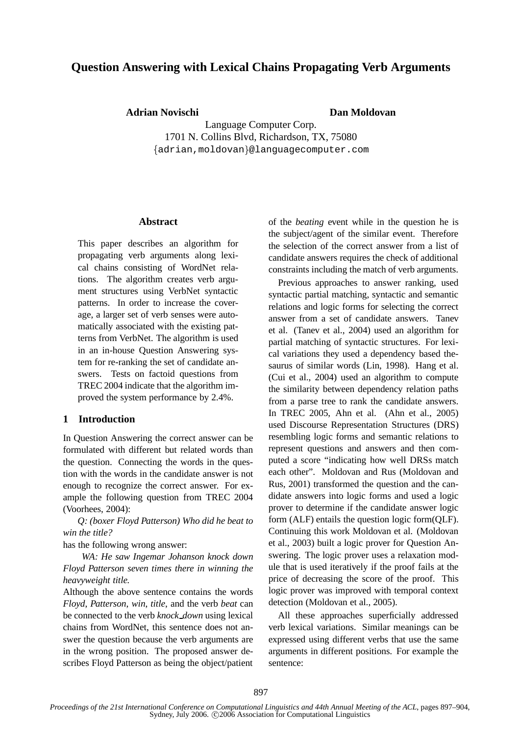# **Question Answering with Lexical Chains Propagating Verb Arguments**

**Adrian Novischi Dan Moldovan**

Language Computer Corp. 1701 N. Collins Blvd, Richardson, TX, 75080  $\{\texttt{adrian}, \texttt{moldovan}\}$ @languagecomputer.com

#### **Abstract**

This paper describes an algorithm for propagating verb arguments along lexical chains consisting of WordNet relations. The algorithm creates verb argument structures using VerbNet syntactic patterns. In order to increase the coverage, a larger set of verb senses were automatically associated with the existing patterns from VerbNet. The algorithm is used in an in-house Question Answering system for re-ranking the set of candidate answers. Tests on factoid questions from TREC 2004 indicate that the algorithm improved the system performance by 2.4%.

### **1 Introduction**

In Question Answering the correct answer can be formulated with different but related words than the question. Connecting the words in the question with the words in the candidate answer is not enough to recognize the correct answer. For example the following question from TREC 2004 (Voorhees, 2004):

*Q: (boxer Floyd Patterson) Who did he beat to win the title?*

has the following wrong answer:

*WA: He saw Ingemar Johanson knock down Floyd Patterson seven times there in winning the heavyweight title.*

Although the above sentence contains the words *Floyd*, *Patterson*, *win*, *title*, and the verb *beat* can be connected to the verb *knock down* using lexical chains from WordNet, this sentence does not answer the question because the verb arguments are in the wrong position. The proposed answer describes Floyd Patterson as being the object/patient of the *beating* event while in the question he is the subject/agent of the similar event. Therefore the selection of the correct answer from a list of candidate answers requires the check of additional constraints including the match of verb arguments.

Previous approaches to answer ranking, used syntactic partial matching, syntactic and semantic relations and logic forms for selecting the correct answer from a set of candidate answers. Tanev et al. (Tanev et al., 2004) used an algorithm for partial matching of syntactic structures. For lexical variations they used a dependency based thesaurus of similar words (Lin, 1998). Hang et al. (Cui et al., 2004) used an algorithm to compute the similarity between dependency relation paths from a parse tree to rank the candidate answers. In TREC 2005, Ahn et al. (Ahn et al., 2005) used Discourse Representation Structures (DRS) resembling logic forms and semantic relations to represent questions and answers and then computed a score "indicating how well DRSs match each other". Moldovan and Rus (Moldovan and Rus, 2001) transformed the question and the candidate answers into logic forms and used a logic prover to determine if the candidate answer logic form (ALF) entails the question logic form(QLF). Continuing this work Moldovan et al. (Moldovan et al., 2003) built a logic prover for Question Answering. The logic prover uses a relaxation module that is used iteratively if the proof fails at the price of decreasing the score of the proof. This logic prover was improved with temporal context detection (Moldovan et al., 2005).

All these approaches superficially addressed verb lexical variations. Similar meanings can be expressed using different verbs that use the same arguments in different positions. For example the sentence: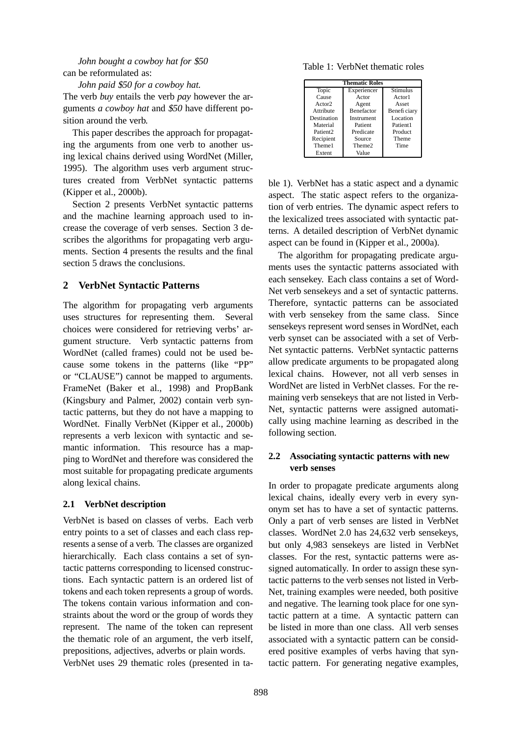# *John bought a cowboy hat for* \$*50* can be reformulated as:

*John paid* \$*50 for a cowboy hat.*

The verb *buy* entails the verb *pay* however the arguments *a cowboy hat* and \$*50* have different position around the verb.

This paper describes the approach for propagating the arguments from one verb to another using lexical chains derived using WordNet (Miller, 1995). The algorithm uses verb argument structures created from VerbNet syntactic patterns (Kipper et al., 2000b).

Section 2 presents VerbNet syntactic patterns and the machine learning approach used to increase the coverage of verb senses. Section 3 describes the algorithms for propagating verb arguments. Section 4 presents the results and the final section 5 draws the conclusions.

## **2 VerbNet Syntactic Patterns**

The algorithm for propagating verb arguments uses structures for representing them. Several choices were considered for retrieving verbs' argument structure. Verb syntactic patterns from WordNet (called frames) could not be used because some tokens in the patterns (like "PP" or "CLAUSE") cannot be mapped to arguments. FrameNet (Baker et al., 1998) and PropBank (Kingsbury and Palmer, 2002) contain verb syntactic patterns, but they do not have a mapping to WordNet. Finally VerbNet (Kipper et al., 2000b) represents a verb lexicon with syntactic and semantic information. This resource has a mapping to WordNet and therefore was considered the most suitable for propagating predicate arguments along lexical chains.

### **2.1 VerbNet description**

VerbNet is based on classes of verbs. Each verb entry points to a set of classes and each class represents a sense of a verb. The classes are organized hierarchically. Each class contains a set of syntactic patterns corresponding to licensed constructions. Each syntactic pattern is an ordered list of tokens and each token represents a group of words. The tokens contain various information and constraints about the word or the group of words they represent. The name of the token can represent the thematic role of an argument, the verb itself, prepositions, adjectives, adverbs or plain words.

VerbNet uses 29 thematic roles (presented in ta-

Table 1: VerbNet thematic roles

| <b>Thematic Roles</b> |                   |              |  |
|-----------------------|-------------------|--------------|--|
| Topic                 | Experiencer       | Stimulus     |  |
| Cause                 | Actor             | Actorl       |  |
| Actor2                | Agent             | Asset        |  |
| Attribute             | <b>Benefactor</b> | Benefi ciary |  |
| Destination           | Instrument        | Location     |  |
| Material              | Patient           | Patient1     |  |
| Patient <sub>2</sub>  | Predicate         | Product      |  |
| Recipient             | Source            | Theme        |  |
| Theme1                | Theme2            | Time         |  |
| Extent                | Value             |              |  |

ble 1). VerbNet has a static aspect and a dynamic aspect. The static aspect refers to the organization of verb entries. The dynamic aspect refers to the lexicalized trees associated with syntactic patterns. A detailed description of VerbNet dynamic aspect can be found in (Kipper et al., 2000a).

The algorithm for propagating predicate arguments uses the syntactic patterns associated with each sensekey. Each class contains a set of Word-Net verb sensekeys and a set of syntactic patterns. Therefore, syntactic patterns can be associated with verb sensekey from the same class. Since sensekeys represent word senses in WordNet, each verb synset can be associated with a set of Verb-Net syntactic patterns. VerbNet syntactic patterns allow predicate arguments to be propagated along lexical chains. However, not all verb senses in WordNet are listed in VerbNet classes. For the remaining verb sensekeys that are not listed in Verb-Net, syntactic patterns were assigned automatically using machine learning as described in the following section.

# **2.2 Associating syntactic patterns with new verb senses**

In order to propagate predicate arguments along lexical chains, ideally every verb in every synonym set has to have a set of syntactic patterns. Only a part of verb senses are listed in VerbNet classes. WordNet 2.0 has 24,632 verb sensekeys, but only 4,983 sensekeys are listed in VerbNet classes. For the rest, syntactic patterns were assigned automatically. In order to assign these syntactic patterns to the verb senses not listed in Verb-Net, training examples were needed, both positive and negative. The learning took place for one syntactic pattern at a time. A syntactic pattern can be listed in more than one class. All verb senses associated with a syntactic pattern can be considered positive examples of verbs having that syntactic pattern. For generating negative examples,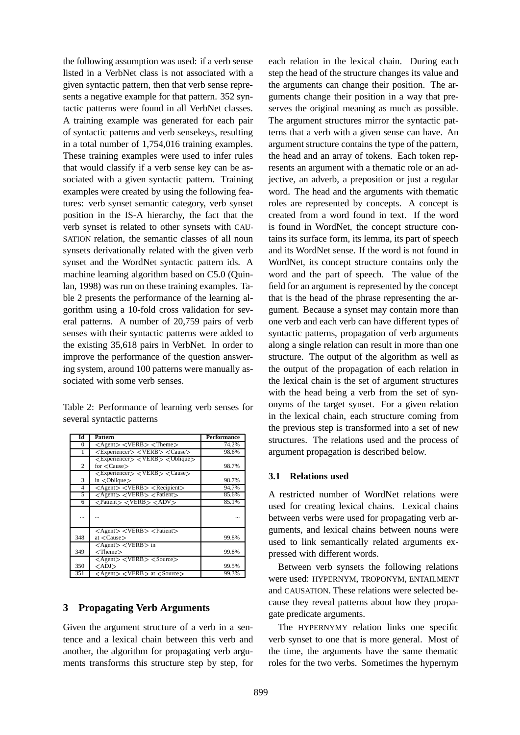the following assumption was used: if a verb sense listed in a VerbNet class is not associated with a given syntactic pattern, then that verb sense represents a negative example for that pattern. 352 syntactic patterns were found in all VerbNet classes. A training example was generated for each pair of syntactic patterns and verb sensekeys, resulting in a total number of 1,754,016 training examples. These training examples were used to infer rules that would classify if a verb sense key can be associated with a given syntactic pattern. Training examples were created by using the following features: verb synset semantic category, verb synset position in the IS-A hierarchy, the fact that the verb synset is related to other synsets with CAU-SATION relation, the semantic classes of all noun synsets derivationally related with the given verb synset and the WordNet syntactic pattern ids. A machine learning algorithm based on C5.0 (Quinlan, 1998) was run on these training examples. Table 2 presents the performance of the learning algorithm using a 10-fold cross validation for several patterns. A number of 20,759 pairs of verb senses with their syntactic patterns were added to the existing 35,618 pairs in VerbNet. In order to improve the performance of the question answering system, around 100 patterns were manually associated with some verb senses.

Table 2: Performance of learning verb senses for several syntactic patterns

| Ы   | Pattern                                                                              | Performance |
|-----|--------------------------------------------------------------------------------------|-------------|
| 0   | $\langle$ Agent $\rangle$ $\langle$ VERB $\rangle$ $\langle$ Theme $\rangle$         | 74.2%       |
|     | <experiencer> <verb> <cause></cause></verb></experiencer>                            | 98.6%       |
|     | $\langle$ Experiencer $\rangle$ $\langle$ VERB $\rangle$ $\langle$ Oblique $\rangle$ |             |
| 2   | for $\langle \text{Cause}\rangle$                                                    | 98.7%       |
|     | $<$ Experiencer $>$ $<$ VERB $>$ $<$ Cause $>$                                       |             |
| 3   | $in <$ Oblique $>$                                                                   | 98.7%       |
| 4   | $\langle$ Agent $\rangle$ $\langle$ VERB $\rangle$ $\langle$ Recipient $\rangle$     | 94.7%       |
| 5   | $\langle$ Agent $\rangle$ $\langle$ VERB $\rangle$ $\langle$ Patient $\rangle$       | 85.6%       |
| 6   | <patient> <verb> <adv></adv></verb></patient>                                        | 85.1%       |
|     |                                                                                      |             |
|     | $\langle$ Agent $\rangle$ $\langle$ VERB $\rangle$ $\langle$ Patient $\rangle$       |             |
| 348 | at $\langle$ Cause $\rangle$                                                         | 99.8%       |
|     | <agent> <verb> in</verb></agent>                                                     |             |
| 349 | $<$ Theme $>$                                                                        | 99.8%       |
|     | $\langle$ Agent $\rangle$ $\langle$ VERB $\rangle$ $\langle$ Source $\rangle$        |             |
| 350 | $\langle$ ADJ $>$                                                                    | 99.5%       |
| 351 | $\langle$ Agent $\rangle$ $\langle$ VERB $\rangle$ at $\langle$ Source $\rangle$     | 99.3%       |

### **3 Propagating Verb Arguments**

Given the argument structure of a verb in a sentence and a lexical chain between this verb and another, the algorithm for propagating verb arguments transforms this structure step by step, for

each relation in the lexical chain. During each step the head of the structure changes its value and the arguments can change their position. The arguments change their position in a way that preserves the original meaning as much as possible. The argument structures mirror the syntactic patterns that a verb with a given sense can have. An argument structure contains the type of the pattern, the head and an array of tokens. Each token represents an argument with a thematic role or an adjective, an adverb, a preposition or just a regular word. The head and the arguments with thematic roles are represented by concepts. A concept is created from a word found in text. If the word is found in WordNet, the concept structure contains its surface form, its lemma, its part of speech and its WordNet sense. If the word is not found in WordNet, its concept structure contains only the word and the part of speech. The value of the field for an argument is represented by the concept that is the head of the phrase representing the argument. Because a synset may contain more than one verb and each verb can have different types of syntactic patterns, propagation of verb arguments along a single relation can result in more than one structure. The output of the algorithm as well as the output of the propagation of each relation in the lexical chain is the set of argument structures with the head being a verb from the set of synonyms of the target synset. For a given relation in the lexical chain, each structure coming from the previous step is transformed into a set of new structures. The relations used and the process of argument propagation is described below.

### **3.1 Relations used**

A restricted number of WordNet relations were used for creating lexical chains. Lexical chains between verbs were used for propagating verb arguments, and lexical chains between nouns were used to link semantically related arguments expressed with different words.

Between verb synsets the following relations were used: HYPERNYM, TROPONYM, ENTAILMENT and CAUSATION. These relations were selected because they reveal patterns about how they propagate predicate arguments.

The HYPERNYMY relation links one specific verb synset to one that is more general. Most of the time, the arguments have the same thematic roles for the two verbs. Sometimes the hypernym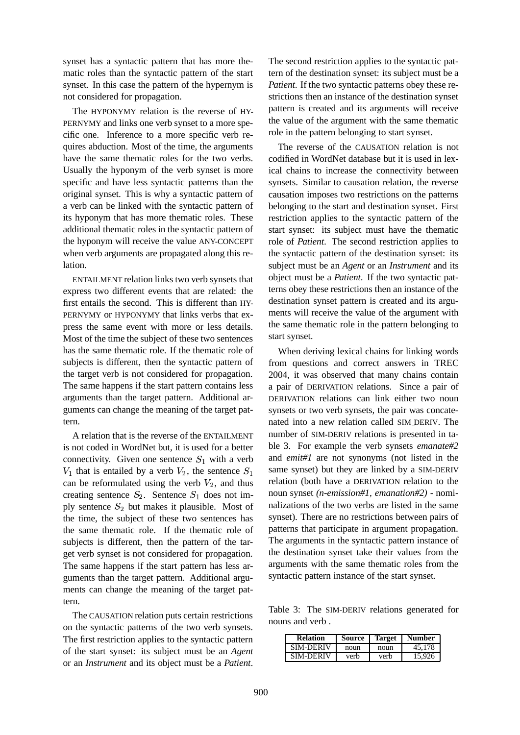synset has a syntactic pattern that has more thematic roles than the syntactic pattern of the start synset. In this case the pattern of the hypernym is not considered for propagation.

The HYPONYMY relation is the reverse of HY-PERNYMY and links one verb synset to a more specific one. Inference to a more specific verb requires abduction. Most of the time, the arguments have the same thematic roles for the two verbs. Usually the hyponym of the verb synset is more specific and have less syntactic patterns than the original synset. This is why a syntactic pattern of a verb can be linked with the syntactic pattern of its hyponym that has more thematic roles. These additional thematic roles in the syntactic pattern of the hyponym will receive the value ANY-CONCEPT when verb arguments are propagated along this relation.

ENTAILMENT relation links two verb synsets that express two different events that are related: the first entails the second. This is different than HY-PERNYMY or HYPONYMY that links verbs that express the same event with more or less details. Most of the time the subject of these two sentences has the same thematic role. If the thematic role of subjects is different, then the syntactic pattern of the target verb is not considered for propagation. The same happens if the start pattern contains less arguments than the target pattern. Additional arguments can change the meaning of the target pattern.

A relation that is the reverse of the ENTAILMENT is not coded in WordNet but, it is used for a better connectivity. Given one sentence  $S_1$  with a verb  $V_1$  that is entailed by a verb  $V_2$ , the sentence  $S_1$  so can be reformulated using the verb  $V_2$ , and thus creating sentence  $S_2$ . Sentence  $S_1$  does not imply sentence  $S_2$  but makes it plausible. Most of the time, the subject of these two sentences has the same thematic role. If the thematic role of subjects is different, then the pattern of the target verb synset is not considered for propagation. The same happens if the start pattern has less arguments than the target pattern. Additional arguments can change the meaning of the target pattern.

The CAUSATION relation puts certain restrictions on the syntactic patterns of the two verb synsets. The first restriction applies to the syntactic pattern of the start synset: its subject must be an *Agent* or an *Instrument* and its object must be a *Patient*.

The second restriction applies to the syntactic pattern of the destination synset: its subject must be a *Patient*. If the two syntactic patterns obey these restrictions then an instance of the destination synset pattern is created and its arguments will receive the value of the argument with the same thematic role in the pattern belonging to start synset.

The reverse of the CAUSATION relation is not codified in WordNet database but it is used in lexical chains to increase the connectivity between synsets. Similar to causation relation, the reverse causation imposes two restrictions on the patterns belonging to the start and destination synset. First restriction applies to the syntactic pattern of the start synset: its subject must have the thematic role of *Patient*. The second restriction applies to the syntactic pattern of the destination synset: its subject must be an *Agent* or an *Instrument* and its object must be a *Patient*. If the two syntactic patterns obey these restrictions then an instance of the destination synset pattern is created and its arguments will receive the value of the argument with the same thematic role in the pattern belonging to start synset.

When deriving lexical chains for linking words from questions and correct answers in TREC 2004, it was observed that many chains contain a pair of DERIVATION relations. Since a pair of DERIVATION relations can link either two noun synsets or two verb synsets, the pair was concatenated into a new relation called SIM DERIV. The number of SIM-DERIV relations is presented in table 3. For example the verb synsets *emanate#2* and *emit#1* are not synonyms (not listed in the same synset) but they are linked by a SIM-DERIV relation (both have a DERIVATION relation to the noun synset *(n-emission#1, emanation#2)* - nominalizations of the two verbs are listed in the same synset). There are no restrictions between pairs of patterns that participate in argument propagation. The arguments in the syntactic pattern instance of the destination synset take their values from the arguments with the same thematic roles from the syntactic pattern instance of the start synset.

Table 3: The SIM-DERIV relations generated for nouns and verb .

| <b>Relation</b>  | Source | <b>Target</b> | Number |
|------------------|--------|---------------|--------|
| <b>SIM-DERIV</b> | noun   | noun          | 45.178 |
| SIM-DERIV        | verh   | verb          | 15.926 |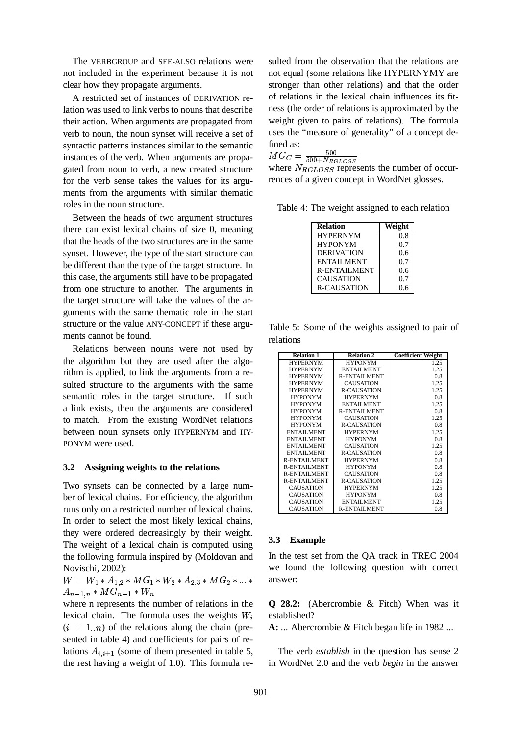The VERBGROUP and SEE-ALSO relations were not included in the experiment because it is not clear how they propagate arguments.

A restricted set of instances of DERIVATION relation was used to link verbs to nouns that describe their action. When arguments are propagated from verb to noun, the noun synset will receive a set of syntactic patterns instances similar to the semantic instances of the verb. When arguments are propagated from noun to verb, a new created structure for the verb sense takes the values for its arguments from the arguments with similar thematic roles in the noun structure.

Between the heads of two argument structures there can exist lexical chains of size 0, meaning that the heads of the two structures are in the same synset. However, the type of the start structure can be different than the type of the target structure. In this case, the arguments still have to be propagated from one structure to another. The arguments in the target structure will take the values of the arguments with the same thematic role in the start structure or the value ANY-CONCEPT if these arguments cannot be found.

Relations between nouns were not used by the algorithm but they are used after the algorithm is applied, to link the arguments from a resulted structure to the arguments with the same semantic roles in the target structure. If such a link exists, then the arguments are considered to match. From the existing WordNet relations between noun synsets only HYPERNYM and HY-PONYM were used.

#### **3.2 Assigning weights to the relations**

Two synsets can be connected by a large number of lexical chains. For efficiency, the algorithm runs only on a restricted number of lexical chains. In order to select the most likely lexical chains, they were ordered decreasingly by their weight. The weight of a lexical chain is computed using the following formula inspired by (Moldovan and Novischi, 2002):

--- --- - --- --- -- --- -- 

where n represents the number of relations in the lexical chain. The formula uses the weights  $W_i$  $(i = 1..n)$  of the relations along the chain (presented in table 4) and coefficients for pairs of relations  $A_{i,i+1}$  (some of them presented in table 5, the rest having a weight of 1.0). This formula resulted from the observation that the relations are not equal (some relations like HYPERNYMY are stronger than other relations) and that the order of relations in the lexical chain influences its fitness (the order of relations is approximated by the weight given to pairs of relations). The formula uses the "measure of generality" of a concept defined as:

 $MG_C = \frac{300}{500 \pm M}$ 

where  $N_{RGLOSS}$  represents the number of occurrences of a given concept in WordNet glosses.

Table 4: The weight assigned to each relation

| <b>Relation</b>     | Veight |
|---------------------|--------|
| <b>HYPERNYM</b>     | 0.8    |
| <b>HYPONYM</b>      | 0.7    |
| <b>DERIVATION</b>   | 0.6    |
| <b>ENTAILMENT</b>   | 0.7    |
| <b>R-ENTAILMENT</b> | 0.6    |
| <b>CAUSATION</b>    | 0.7    |
| <b>R-CAUSATION</b>  | 0.6    |

Table 5: Some of the weights assigned to pair of relations

| <b>Relation 1</b>   | <b>Relation 2</b>   | <b>Coefficient Weight</b> |  |
|---------------------|---------------------|---------------------------|--|
| <b>HYPERNYM</b>     | <b>HYPONYM</b>      | 1.25                      |  |
| <b>HYPERNYM</b>     | ENTAILMENT          | 1.25                      |  |
| <b>HYPERNYM</b>     | <b>R-ENTAILMENT</b> | 0.8                       |  |
| <b>HYPERNYM</b>     | <b>CAUSATION</b>    | 1.25                      |  |
| <b>HYPERNYM</b>     | <b>R-CAUSATION</b>  | 1.25                      |  |
| <b>HYPONYM</b>      | <b>HYPERNYM</b>     | 0.8                       |  |
| <b>HYPONYM</b>      | ENTAILMENT          | 1.25                      |  |
| <b>HYPONYM</b>      | <b>R-ENTAILMENT</b> | 0.8                       |  |
| <b>HYPONYM</b>      | <b>CAUSATION</b>    | 1.25                      |  |
| <b>HYPONYM</b>      | <b>R-CAUSATION</b>  | 0.8                       |  |
| <b>ENTAILMENT</b>   | <b>HYPERNYM</b>     | 1.25                      |  |
| <b>ENTAILMENT</b>   | <b>HYPONYM</b>      | 0.8                       |  |
| <b>ENTAILMENT</b>   | <b>CAUSATION</b>    | 1.25                      |  |
| <b>ENTAILMENT</b>   | <b>R-CAUSATION</b>  | 0.8                       |  |
| <b>R-ENTAILMENT</b> | <b>HYPERNYM</b>     | 0.8                       |  |
| <b>R-ENTAILMENT</b> | <b>HYPONYM</b>      | 0.8                       |  |
| <b>R-ENTAILMENT</b> | <b>CAUSATION</b>    | 0.8                       |  |
| <b>R-ENTAILMENT</b> | <b>R-CAUSATION</b>  | 1.25                      |  |
| <b>CAUSATION</b>    | <b>HYPERNYM</b>     | 1.25                      |  |
| <b>CAUSATION</b>    | <b>HYPONYM</b>      | 0.8                       |  |
| <b>CAUSATION</b>    | ENTAILMENT          | 1.25                      |  |
| <b>CAUSATION</b>    | <b>R-ENTAILMENT</b> | 0.8                       |  |

#### **3.3 Example**

In the test set from the QA track in TREC 2004 we found the following question with correct answer:

**Q 28.2:** (Abercrombie & Fitch) When was it established?

**A:** ... Abercrombie & Fitch began life in 1982 ...

The verb *establish* in the question has sense 2 in WordNet 2.0 and the verb *begin* in the answer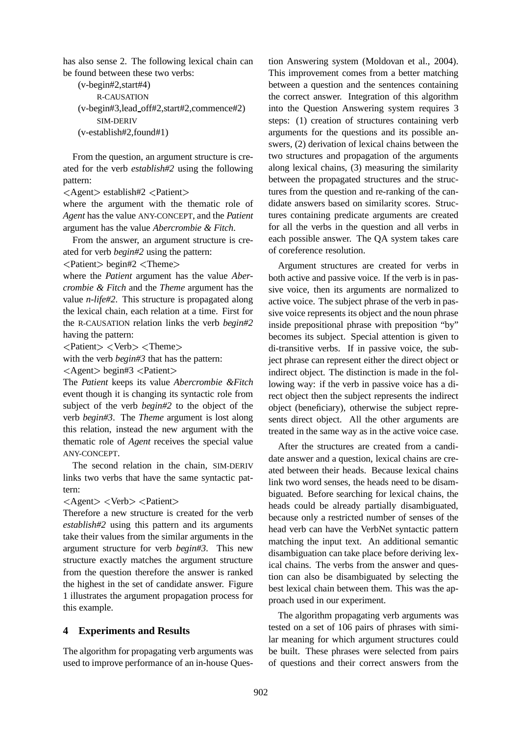has also sense 2. The following lexical chain can be found between these two verbs:

```
(v-begin#2,start#4)
    R-CAUSATION
(v-begin#3,lead off#2,start#2,commence#2)
    SIM-DERIV
(v-establish#2,found#1)
```
From the question, an argument structure is created for the verb *establish#2* using the following pattern:

Agent> establish#2 <Patient>

where the argument with the thematic role of *Agent* has the value ANY-CONCEPT, and the *Patient* argument has the value *Abercrombie & Fitch*.

From the answer, an argument structure is created for verb *begin#2* using the pattern:

Patient  $\geq$  begin#2  $\lt$ Theme $\gt$ 

where the *Patient* argument has the value *Abercrombie & Fitch* and the *Theme* argument has the value *n-life#2*. This structure is propagated along the lexical chain, each relation at a time. First for the R-CAUSATION relation links the verb *begin#2* having the pattern:

Patient> <Verb> <Theme>

with the verb *begin#3* that has the pattern:

 $\text{Agent}$  begin#3 <Patient>

The *Patient* keeps its value *Abercrombie &Fitch* event though it is changing its syntactic role from subject of the verb *begin#2* to the object of the verb *begin#3*. The *Theme* argument is lost along this relation, instead the new argument with the thematic role of *Agent* receives the special value ANY-CONCEPT.

The second relation in the chain, SIM-DERIV links two verbs that have the same syntactic pattern:

Agent> <Verb> <Patient>

Therefore a new structure is created for the verb *establish#2* using this pattern and its arguments take their values from the similar arguments in the argument structure for verb *begin#3*. This new structure exactly matches the argument structure from the question therefore the answer is ranked the highest in the set of candidate answer. Figure 1 illustrates the argument propagation process for this example.

# **4 Experiments and Results**

The algorithm for propagating verb arguments was used to improve performance of an in-house Ques-

tion Answering system (Moldovan et al., 2004). This improvement comes from a better matching between a question and the sentences containing the correct answer. Integration of this algorithm into the Question Answering system requires 3 steps: (1) creation of structures containing verb arguments for the questions and its possible answers, (2) derivation of lexical chains between the two structures and propagation of the arguments along lexical chains, (3) measuring the similarity between the propagated structures and the structures from the question and re-ranking of the candidate answers based on similarity scores. Structures containing predicate arguments are created for all the verbs in the question and all verbs in each possible answer. The QA system takes care of coreference resolution.

Argument structures are created for verbs in both active and passive voice. If the verb is in passive voice, then its arguments are normalized to active voice. The subject phrase of the verb in passive voice represents its object and the noun phrase inside prepositional phrase with preposition "by" becomes its subject. Special attention is given to di-transitive verbs. If in passive voice, the subject phrase can represent either the direct object or indirect object. The distinction is made in the following way: if the verb in passive voice has a direct object then the subject represents the indirect object (beneficiary), otherwise the subject represents direct object. All the other arguments are treated in the same way as in the active voice case.

After the structures are created from a candidate answer and a question, lexical chains are created between their heads. Because lexical chains link two word senses, the heads need to be disambiguated. Before searching for lexical chains, the heads could be already partially disambiguated, because only a restricted number of senses of the head verb can have the VerbNet syntactic pattern matching the input text. An additional semantic disambiguation can take place before deriving lexical chains. The verbs from the answer and question can also be disambiguated by selecting the best lexical chain between them. This was the approach used in our experiment.

The algorithm propagating verb arguments was tested on a set of 106 pairs of phrases with similar meaning for which argument structures could be built. These phrases were selected from pairs of questions and their correct answers from the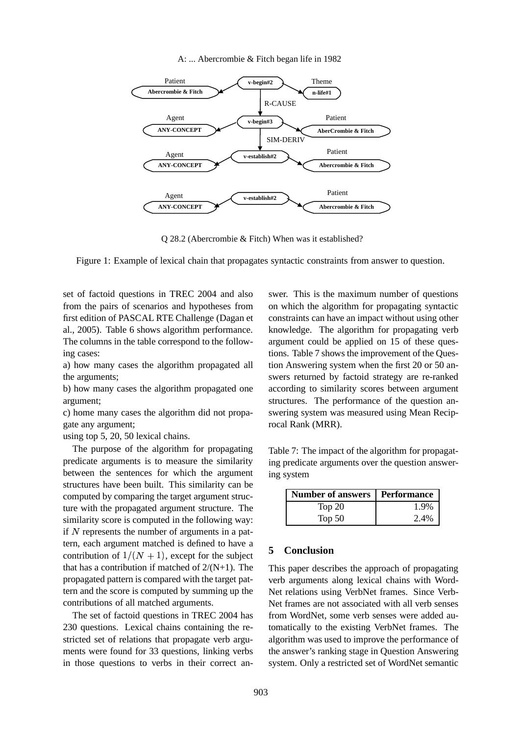#### A: ... Abercrombie & Fitch began life in 1982



Q 28.2 (Abercrombie & Fitch) When was it established?

Figure 1: Example of lexical chain that propagates syntactic constraints from answer to question.

set of factoid questions in TREC 2004 and also from the pairs of scenarios and hypotheses from first edition of PASCAL RTE Challenge (Dagan et al., 2005). Table 6 shows algorithm performance. The columns in the table correspond to the following cases:

a) how many cases the algorithm propagated all the arguments;

b) how many cases the algorithm propagated one argument;

c) home many cases the algorithm did not propagate any argument;

using top 5, 20, 50 lexical chains.

The purpose of the algorithm for propagating predicate arguments is to measure the similarity between the sentences for which the argument structures have been built. This similarity can be computed by comparing the target argument structure with the propagated argument structure. The similarity score is computed in the following way: if  $N$  represents the number of arguments in a pattern, each argument matched is defined to have a contribution of  $1/(N + 1)$ , except for the subject that has a contribution if matched of  $2/(N+1)$ . The propagated pattern is compared with the target pattern and the score is computed by summing up the contributions of all matched arguments.

The set of factoid questions in TREC 2004 has 230 questions. Lexical chains containing the restricted set of relations that propagate verb arguments were found for 33 questions, linking verbs in those questions to verbs in their correct answer. This is the maximum number of questions on which the algorithm for propagating syntactic constraints can have an impact without using other knowledge. The algorithm for propagating verb argument could be applied on 15 of these questions. Table 7 shows the improvement of the Question Answering system when the first 20 or 50 answers returned by factoid strategy are re-ranked according to similarity scores between argument structures. The performance of the question answering system was measured using Mean Reciprocal Rank (MRR).

Table 7: The impact of the algorithm for propagating predicate arguments over the question answering system

| Number of answers   Performance |      |  |
|---------------------------------|------|--|
| Top $20$                        | 1.9% |  |
| Top $50$                        | 2.4% |  |

#### **5 Conclusion**

This paper describes the approach of propagating verb arguments along lexical chains with Word-Net relations using VerbNet frames. Since Verb-Net frames are not associated with all verb senses from WordNet, some verb senses were added automatically to the existing VerbNet frames. The algorithm was used to improve the performance of the answer's ranking stage in Question Answering system. Only a restricted set of WordNet semantic